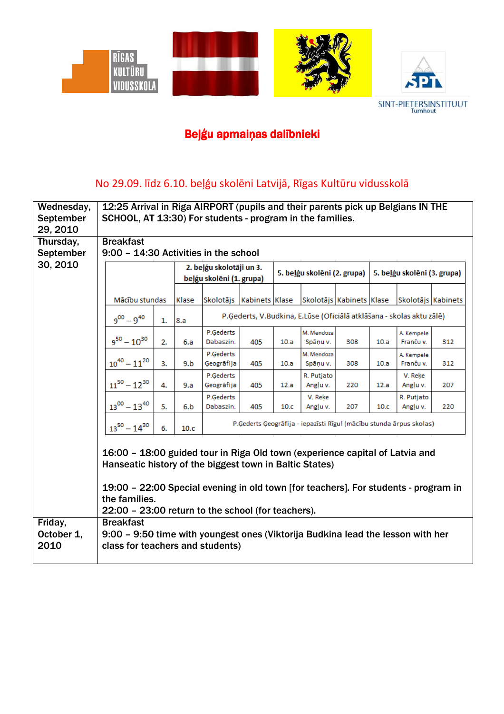

SINT-PIETERSINSTITUUT

## Beļģu apmaiņas dalībnieki

## No 29.09. līdz 6.10. beļģu skolēni Latvijā, Rīgas Kultūru vidusskolā

| Wednesday,<br>September<br>29, 2010 |                                                                                                                                                                                                                                                                                                       | 12:25 Arrival in Riga AIRPORT (pupils and their parents pick up Belgians IN THE<br>SCHOOL, AT 13:30) For students - program in the families. |    |       |                                                                      |     |                 |                             |     |      |                             |     |  |
|-------------------------------------|-------------------------------------------------------------------------------------------------------------------------------------------------------------------------------------------------------------------------------------------------------------------------------------------------------|----------------------------------------------------------------------------------------------------------------------------------------------|----|-------|----------------------------------------------------------------------|-----|-----------------|-----------------------------|-----|------|-----------------------------|-----|--|
| Thursday,                           |                                                                                                                                                                                                                                                                                                       | <b>Breakfast</b>                                                                                                                             |    |       |                                                                      |     |                 |                             |     |      |                             |     |  |
| <b>September</b>                    |                                                                                                                                                                                                                                                                                                       | 9:00 - 14:30 Activities in the school                                                                                                        |    |       |                                                                      |     |                 |                             |     |      |                             |     |  |
| 30, 2010                            |                                                                                                                                                                                                                                                                                                       |                                                                                                                                              |    |       | 2. beļģu skolotāji un 3.                                             |     |                 | 5. beļģu skolēni (2. grupa) |     |      | 5. beļģu skolēni (3. grupa) |     |  |
|                                     |                                                                                                                                                                                                                                                                                                       | beļģu skolēni (1. grupa)                                                                                                                     |    |       |                                                                      |     |                 |                             |     |      |                             |     |  |
|                                     |                                                                                                                                                                                                                                                                                                       | Mācību stundas                                                                                                                               |    | Klase | Skolotājs Kabinets Klase                                             |     |                 | Skolotājs Kabinets Klase    |     |      | Skolotājs Kabinets          |     |  |
|                                     |                                                                                                                                                                                                                                                                                                       | $9^{00} - 9^{40}$                                                                                                                            | 1. | 8.a   | P.Gederts, V.Budkina, E.Lūse (Oficiālā atklāšana - skolas aktu zālē) |     |                 |                             |     |      |                             |     |  |
|                                     |                                                                                                                                                                                                                                                                                                       | $9^{50} - 10^{30}$                                                                                                                           | 2. | 6.a   | <b>P.Gederts</b><br>Dabaszin.                                        | 405 | 10.a            | M. Mendoza<br>Spānu v.      | 308 | 10.a | A. Kempele<br>Franču v.     | 312 |  |
|                                     |                                                                                                                                                                                                                                                                                                       | $10^{40} - 11^{20}$                                                                                                                          | 3. | 9.b   | P.Gederts<br>Geogrāfija                                              | 405 | 10.a            | M. Mendoza<br>Spāņu v.      | 308 | 10.a | A. Kempele<br>Franču v.     | 312 |  |
|                                     |                                                                                                                                                                                                                                                                                                       | $11^{50} - 12^{30}$                                                                                                                          | 4. | 9.a   | P.Gederts<br>Geogrāfija                                              | 405 | 12.a            | R. Putjato<br>Anglu v.      | 220 | 12.a | V. Reke<br>Anglu v.         | 207 |  |
|                                     |                                                                                                                                                                                                                                                                                                       | $13^{00} - 13^{40}$                                                                                                                          | 5. | 6.b   | <b>P.Gederts</b><br>Dabaszin.                                        | 405 | 10 <sub>c</sub> | V. Reke<br>Anglu v.         | 207 | 10.c | R. Putjato<br>Anglu v.      | 220 |  |
|                                     |                                                                                                                                                                                                                                                                                                       | $13^{50} - 14^{30}$                                                                                                                          | 6. | 10.c  | P.Gederts Geogrāfija - iepazīsti Rīgu! (mācību stunda ārpus skolas)  |     |                 |                             |     |      |                             |     |  |
|                                     | 16:00 - 18:00 guided tour in Riga Old town (experience capital of Latvia and<br>Hanseatic history of the biggest town in Baltic States)<br>19:00 - 22:00 Special evening in old town [for teachers]. For students - program in<br>the families.<br>22:00 - 23:00 return to the school (for teachers). |                                                                                                                                              |    |       |                                                                      |     |                 |                             |     |      |                             |     |  |
| Friday,<br>October 1,<br>2010       |                                                                                                                                                                                                                                                                                                       | <b>Breakfast</b><br>9:00 - 9:50 time with youngest ones (Viktorija Budkina lead the lesson with her<br>class for teachers and students)      |    |       |                                                                      |     |                 |                             |     |      |                             |     |  |